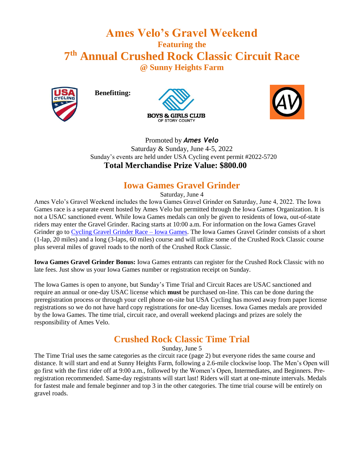# **Ames Velo's Gravel Weekend Featuring the 7 th Annual Crushed Rock Classic Circuit Race @ Sunny Heights Farm**



**Benefitting:**





#### Promoted by *Ames Velo* Saturday & Sunday, June 4-5, 2022 Sunday's events are held under USA Cycling event permit #2022-5720  **Total Merchandise Prize Value: \$800.00**

### **Iowa Games Gravel Grinder**

Saturday, June 4

Ames Velo's Gravel Weekend includes the Iowa Games Gravel Grinder on Saturday, June 4, 2022. The Iowa Games race is a separate event hosted by Ames Velo but permitted through the Iowa Games Organization. It is not a USAC sanctioned event. While Iowa Games medals can only be given to residents of Iowa, out-of-state riders may enter the Gravel Grinder. Racing starts at 10:00 a.m. For information on the Iowa Games Gravel Grinder go to [Cycling Gravel Grinder Race –](https://www.iowagames.org/event/summer-iowa-games/cycling/cycling-gravel-grinder-race/) Iowa Games. The Iowa Games Gravel Grinder consists of a short (1-lap, 20 miles) and a long (3-laps, 60 miles) course and will utilize some of the Crushed Rock Classic course plus several miles of gravel roads to the north of the Crushed Rock Classic.

**Iowa Games Gravel Grinder Bonus:** Iowa Games entrants can register for the Crushed Rock Classic with no late fees. Just show us your Iowa Games number or registration receipt on Sunday.

The Iowa Games is open to anyone, but Sunday's Time Trial and Circuit Races are USAC sanctioned and require an annual or one-day USAC license which **must** be purchased on-line. This can be done during the preregistration process or through your cell phone on-site but USA Cycling has moved away from paper license registrations so we do not have hard copy registrations for one-day licenses. Iowa Games medals are provided by the Iowa Games. The time trial, circuit race, and overall weekend placings and prizes are solely the responsibility of Ames Velo.

## **Crushed Rock Classic Time Trial**

Sunday, June 5

The Time Trial uses the same categories as the circuit race (page 2) but everyone rides the same course and distance. It will start and end at Sunny Heights Farm, following a 2.6-mile clockwise loop. The Men's Open will go first with the first rider off at 9:00 a.m., followed by the Women's Open, Intermediates, and Beginners. Preregistration recommended. Same-day registrants will start last! Riders will start at one-minute intervals. Medals for fastest male and female beginner and top 3 in the other categories. The time trial course will be entirely on gravel roads.